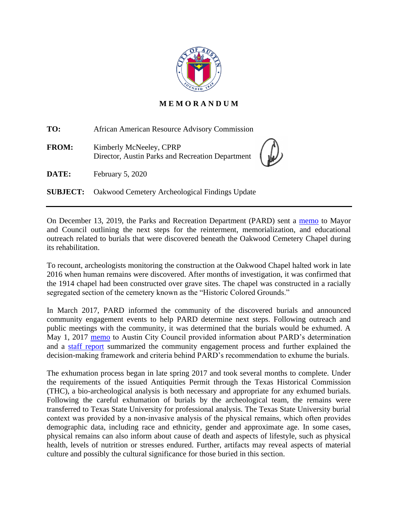

## **M E M O R A N D U M**

**TO:** African American Resource Advisory Commission

**FROM:** Kimberly McNeeley, CPRP Director, Austin Parks and Recreation Department

**DATE:** February 5, 2020

**SUBJECT:** Oakwood Cemetery Archeological Findings Update

On December 13, 2019, the Parks and Recreation Department (PARD) sent a [memo](http://www.austintexas.gov/edims/pio/document.cfm?id=332920) to Mayor and Council outlining the next steps for the reinterment, memorialization, and educational outreach related to burials that were discovered beneath the Oakwood Cemetery Chapel during its rehabilitation.

To recount, archeologists monitoring the construction at the Oakwood Chapel halted work in late 2016 when human remains were discovered. After months of investigation, it was confirmed that the 1914 chapel had been constructed over grave sites. The chapel was constructed in a racially segregated section of the cemetery known as the "Historic Colored Grounds."

In March 2017, PARD informed the community of the discovered burials and announced community engagement events to help PARD determine next steps. Following outreach and public meetings with the community, it was determined that the burials would be exhumed. A May 1, 2017 [memo](https://www.austintexas.gov/edims/pio/document.cfm?id=276185) to Austin City Council provided information about PARD's determination and a [staff report](https://www.austintexas.gov/sites/default/files/files/Parks/Planning_and_Development/172704_FINAL_BINDER_OakwoodStaffReport.pdf) summarized the community engagement process and further explained the decision-making framework and criteria behind PARD's recommendation to exhume the burials.

The exhumation process began in late spring 2017 and took several months to complete. Under the requirements of the issued Antiquities Permit through the Texas Historical Commission (THC), a bio-archeological analysis is both necessary and appropriate for any exhumed burials. Following the careful exhumation of burials by the archeological team, the remains were transferred to Texas State University for professional analysis. The Texas State University burial context was provided by a non‐invasive analysis of the physical remains, which often provides demographic data, including race and ethnicity, gender and approximate age. In some cases, physical remains can also inform about cause of death and aspects of lifestyle, such as physical health, levels of nutrition or stresses endured. Further, artifacts may reveal aspects of material culture and possibly the cultural significance for those buried in this section.